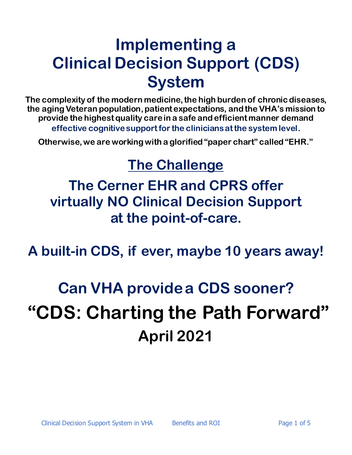## **Implementing a Clinical Decision Support (CDS) System**

**The complexity of the modern medicine, the high burden of chronic diseases, the agingVeteran population, patient expectations, and the VHA's mission to provide the highest quality care in a safe and efficient manner demand effective cognitive support for the clinicians at the system level.** 

**Otherwise, we are working with a glorified "paper chart" called "EHR."**

### **The Challenge**

**The Cerner EHR and CPRS offer virtually NO Clinical Decision Support at the point-of-care.**

**A built-in CDS, if ever, maybe 10 years away!**

# **Can VHA providea CDS sooner? "CDS: Charting the Path Forward" April 2021**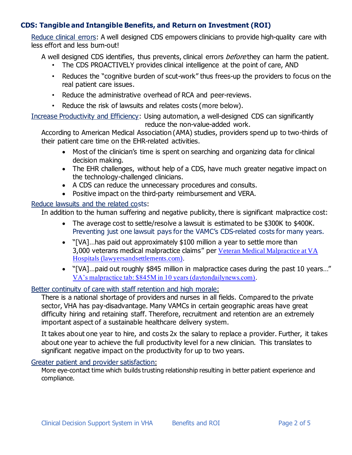#### **CDS: Tangible and Intangible Benefits, and Return on Investment (ROI)**

Reduce clinical errors: A well designed CDS empowers clinicians to provide high-quality care with less effort and less burn-out!

A well designed CDS identifies, thus prevents, clinical errors *before* they can harm the patient.

- The CDS PROACTIVELY provides clinical intelligence at the point of care, AND
- Reduces the "cognitive burden of scut-work" thus frees-up the providers to focus on the real patient care issues.
- Reduce the administrative overhead of RCA and peer-reviews.
- Reduce the risk of lawsuits and relates costs (more below).

Increase Productivity and Efficiency: Using automation, a well-designed CDS can significantly reduce the non-value-added work.

According to American Medical Association (AMA) studies, providers spend up to two-thirds of their patient care time on the EHR-related activities.

- Most of the clinician's time is spent on searching and organizing data for clinical decision making.
- The EHR challenges, without help of a CDS, have much greater negative impact on the technology-challenged clinicians.
- A CDS can reduce the unnecessary procedures and consults.
- Positive impact on the third-party reimbursement and VERA.

#### Reduce lawsuits and the related costs:

In addition to the human suffering and negative publicity, there is significant malpractice cost:

- The average cost to settle/resolve a lawsuit is estimated to be \$300K to \$400K. Preventing just one lawsuit pays for the VAMC's CDS-related costs for many years.
- "[VA]…has paid out approximately \$100 million a year to settle more than 3,000 veterans medical malpractice claims" per [Veteran Medical Malpractice at VA](https://www.lawyersandsettlements.com/lawsuit/veteran_medical_malpractice.html)  [Hospitals \(lawyersandsettlements.com\)](https://www.lawyersandsettlements.com/lawsuit/veteran_medical_malpractice.html).
- "[VA]…paid out roughly \$845 million in malpractice cases during the past 10 years…" [VA's malpractice tab: \\$845M in 10 years \(daytondailynews.com\)](https://www.daytondailynews.com/news/malpractice-tab-845m-years/xUIn4nAuUuXTPzcHVmVjQK/).

#### Better continuity of care with staff retention and high morale:

There is a national shortage of providers and nurses in all fields. Compared to the private sector, VHA has pay-disadvantage. Many VAMCs in certain geographic areas have great difficulty hiring and retaining staff. Therefore, recruitment and retention are an extremely important aspect of a sustainable healthcare delivery system.

It takes about one year to hire, and costs 2x the salary to replace a provider. Further, it takes about one year to achieve the full productivity level for a new clinician. This translates to significant negative impact on the productivity for up to two years.

#### Greater patient and provider satisfaction:

More eye-contact time which builds trusting relationship resulting in better patient experience and compliance.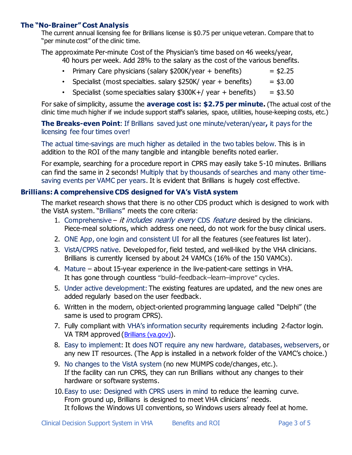#### **The "No-Brainer" Cost Analysis**

The current annual licensing fee for Brillians license is \$0.75 per unique veteran. Compare that to "per minute cost" of the clinic time.

The approximate Per-minute Cost of the Physician's time based on 46 weeks/year, 40 hours per week. Add 28% to the salary as the cost of the various benefits.

- Primary Care physicians (salary  $$200K/year + benefits$ ) =  $$2.25$
- Specialist (most specialties. salary  $$250K/$  year + benefits) =  $$3.00$
- Specialist (some specialties salary  $$300K+/$  year + benefits) =  $$3.50$

For sake of simplicity, assume the **average cost is: \$2.75 per minute.** (The actual cost of the clinic time much higher if we include support staff's salaries, space, utilities, house-keeping costs, etc.)

**The Breaks-even Point**: If Brillians saved just one minute/veteran/year**,** it pays for the licensing fee four times over!

The actual time-savings are much higher as detailed in the two tables below. This is in addition to the ROI of the many tangible and intangible benefits noted earlier.

For example, searching for a procedure report in CPRS may easily take 5-10 minutes. Brillians can find the same in 2 seconds! Multiply that by thousands of searches and many other timesaving events per VAMC per years. It is evident that Brillians is hugely cost effective.

#### **Brillians:A comprehensive CDS designed for VA's VistA system**

The market research shows that there is no other CDS product which is designed to work with the VistA system. "Brillians" meets the core criteria:

- 1. Comprehensive *it includes nearly every* CDS *feature* desired by the clinicians. Piece-meal solutions, which address one need, do not work for the busy clinical users.
- 2. ONE App, one login and consistent UI for all the features (see features list later).
- 3. VistA/CPRS native. Developed for, field tested, and well-liked by the VHA clinicians. Brillians is currently licensed by about 24 VAMCs (16% of the 150 VAMCs).
- 4. Mature about 15-year experience in the live-patient-care settings in VHA. It has gone through countless **"**build–feedback–learn–improve**"** cycles.
- 5. Under active development: The existing features are updated, and the new ones are added regularly based on the user feedback.
- 6. Written in the modern, object-oriented programming language called "Delphi" (the same is used to program CPRS).
- 7. Fully compliant with VHA's information security requirements including 2-factor login. VA TRM approved ([Brillians \(va.gov\)](https://www.oit.va.gov/Services/TRM/ToolPage.aspx?tid=7557)).
- 8. Easy to implement: It does NOT require any new hardware, databases, webservers, or any new IT resources. (The App is installed in a network folder of the VAMC's choice.)
- 9. No changes to the VistA system (no new MUMPS code/changes, etc.). If the facility can run CPRS, they can run Brillians without any changes to their hardware or software systems.
- 10.Easy to use: Designed with CPRS users in mind to reduce the learning curve. From ground up, Brillians is designed to meet VHA clinicians' needs. It follows the Windows UI conventions, so Windows users already feel at home.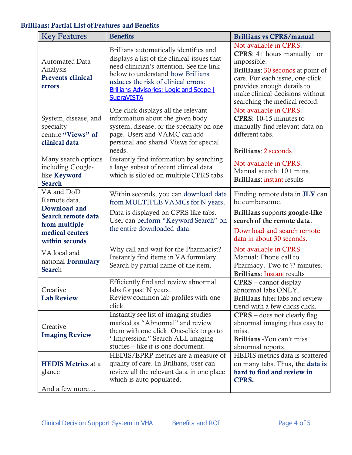#### Brillians: Partial List of Features and Benefits

| <b>Key Features</b>                                                                                                    | <b>Benefits</b>                                                                                                                                                                                                                                                                       | <b>Brillians vs CPRS/manual</b>                                                                                                                                                                                                                         |
|------------------------------------------------------------------------------------------------------------------------|---------------------------------------------------------------------------------------------------------------------------------------------------------------------------------------------------------------------------------------------------------------------------------------|---------------------------------------------------------------------------------------------------------------------------------------------------------------------------------------------------------------------------------------------------------|
| <b>Automated Data</b><br>Analysis<br><b>Prevents clinical</b><br>errors                                                | Brillians automatically identifies and<br>displays a list of the clinical issues that<br>need clinician's attention. See the link<br>below to understand how Brillians<br>reduces the risk of clinical errors:<br><b>Brillians Advisories: Logic and Scope  </b><br><b>SupraVISTA</b> | Not available in CPRS.<br><b>CPRS</b> : $4+$ hours manually or<br>impossible.<br>Brillians: 30 seconds at point of<br>care. For each issue, one-click<br>provides enough details to<br>make clinical decisions without<br>searching the medical record. |
| System, disease, and<br>specialty<br>centric "Views" of<br>clinical data                                               | One click displays all the relevant<br>information about the given body<br>system, disease, or the specialty on one<br>page. Users and VAMC can add<br>personal and shared Views for special<br>needs.                                                                                | Not available in CPRS.<br>CPRS: 10-15 minutes to<br>manually find relevant data on<br>different tabs.<br>Brillians: 2 seconds.                                                                                                                          |
| Many search options<br>including Google-<br>like Keyword<br><b>Search</b>                                              | Instantly find information by searching<br>a large subset of recent clinical data<br>which is silo'ed on multiple CPRS tabs.                                                                                                                                                          | Not available in CPRS.<br>Manual search: 10+ mins.<br><b>Brillians:</b> instant results                                                                                                                                                                 |
| VA and DoD<br>Remote data.<br>Download and<br>Search remote data<br>from multiple<br>medical centers<br>within seconds | Within seconds, you can download data<br>from MULTIPLE VAMCs for N years.<br>Data is displayed on CPRS like tabs.<br>User can perform "Keyword Search" on<br>the entire downloaded data.                                                                                              | Finding remote data in <b>JLV</b> can<br>be cumbersome.<br>Brillians supports google-like<br>search of the remote data.<br>Download and search remote<br>data in about 30 seconds.                                                                      |
| VA local and<br>national Formulary<br>Search                                                                           | Why call and wait for the Pharmacist?<br>Instantly find items in VA formulary.<br>Search by partial name of the item.                                                                                                                                                                 | Not available in CPRS.<br>Manual: Phone call to<br>Pharmacy. Two to ?? minutes.<br><b>Brillians: Instant results</b>                                                                                                                                    |
| Creative<br><b>Lab Review</b>                                                                                          | Efficiently find and review abnormal<br>labs for past N years.<br>Review common lab profiles with one<br>click.                                                                                                                                                                       | $CPRS$ – cannot display<br>abnormal labs ONLY.<br><b>Brillians-filter labs and review</b><br>trend with a few clicks click.                                                                                                                             |
| Creative<br><b>Imaging Review</b>                                                                                      | Instantly see list of imaging studies<br>marked as "Abnormal" and review<br>them with one click. One-click to go to<br>"Impression." Search ALL imaging<br>studies – like it is one document.                                                                                         | $CPRS - does not clearly flag$<br>abnormal imaging thus easy to<br>miss.<br>Brillians - You can't miss<br>abnormal reports.                                                                                                                             |
| <b>HEDIS Metrics at a</b><br>glance                                                                                    | HEDIS/EPRP metrics are a measure of<br>quality of care. In Brillians, user can<br>review all the relevant data in one place<br>which is auto populated.                                                                                                                               | HEDIS metrics data is scattered<br>on many tabs. Thus, the data is<br>hard to find and review in<br>CPRS.                                                                                                                                               |
| And a few more                                                                                                         |                                                                                                                                                                                                                                                                                       |                                                                                                                                                                                                                                                         |